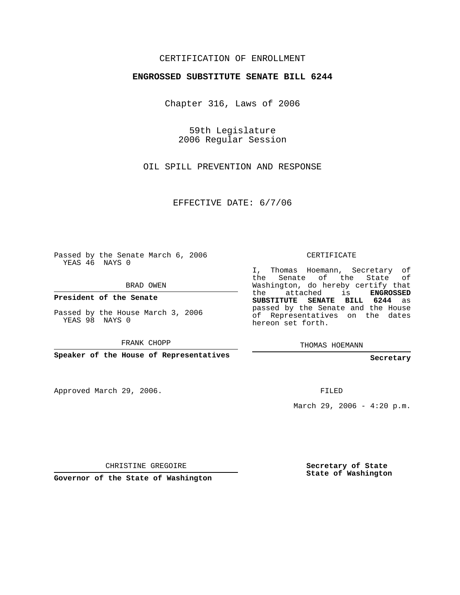## CERTIFICATION OF ENROLLMENT

#### **ENGROSSED SUBSTITUTE SENATE BILL 6244**

Chapter 316, Laws of 2006

59th Legislature 2006 Regular Session

OIL SPILL PREVENTION AND RESPONSE

EFFECTIVE DATE: 6/7/06

Passed by the Senate March 6, 2006 YEAS 46 NAYS 0

BRAD OWEN

**President of the Senate**

Passed by the House March 3, 2006 YEAS 98 NAYS 0

FRANK CHOPP

**Speaker of the House of Representatives**

Approved March 29, 2006.

CERTIFICATE

I, Thomas Hoemann, Secretary of the Senate of the State Washington, do hereby certify that the attached is **ENGROSSED SUBSTITUTE SENATE BILL 6244** as passed by the Senate and the House of Representatives on the dates hereon set forth.

THOMAS HOEMANN

**Secretary**

FILED

March 29, 2006 -  $4:20$  p.m.

CHRISTINE GREGOIRE

**Governor of the State of Washington**

**Secretary of State State of Washington**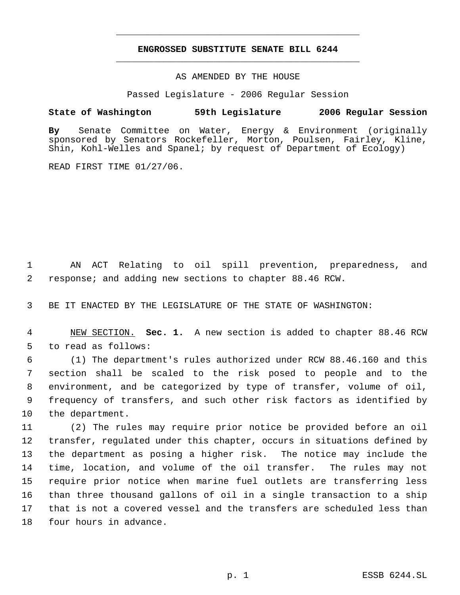# **ENGROSSED SUBSTITUTE SENATE BILL 6244** \_\_\_\_\_\_\_\_\_\_\_\_\_\_\_\_\_\_\_\_\_\_\_\_\_\_\_\_\_\_\_\_\_\_\_\_\_\_\_\_\_\_\_\_\_

\_\_\_\_\_\_\_\_\_\_\_\_\_\_\_\_\_\_\_\_\_\_\_\_\_\_\_\_\_\_\_\_\_\_\_\_\_\_\_\_\_\_\_\_\_

### AS AMENDED BY THE HOUSE

Passed Legislature - 2006 Regular Session

### **State of Washington 59th Legislature 2006 Regular Session**

**By** Senate Committee on Water, Energy & Environment (originally sponsored by Senators Rockefeller, Morton, Poulsen, Fairley, Kline, Shin, Kohl-Welles and Spanel; by request of Department of Ecology)

READ FIRST TIME 01/27/06.

 AN ACT Relating to oil spill prevention, preparedness, and response; and adding new sections to chapter 88.46 RCW.

BE IT ENACTED BY THE LEGISLATURE OF THE STATE OF WASHINGTON:

 NEW SECTION. **Sec. 1.** A new section is added to chapter 88.46 RCW to read as follows:

 (1) The department's rules authorized under RCW 88.46.160 and this section shall be scaled to the risk posed to people and to the environment, and be categorized by type of transfer, volume of oil, frequency of transfers, and such other risk factors as identified by the department.

 (2) The rules may require prior notice be provided before an oil transfer, regulated under this chapter, occurs in situations defined by the department as posing a higher risk. The notice may include the time, location, and volume of the oil transfer. The rules may not require prior notice when marine fuel outlets are transferring less than three thousand gallons of oil in a single transaction to a ship that is not a covered vessel and the transfers are scheduled less than four hours in advance.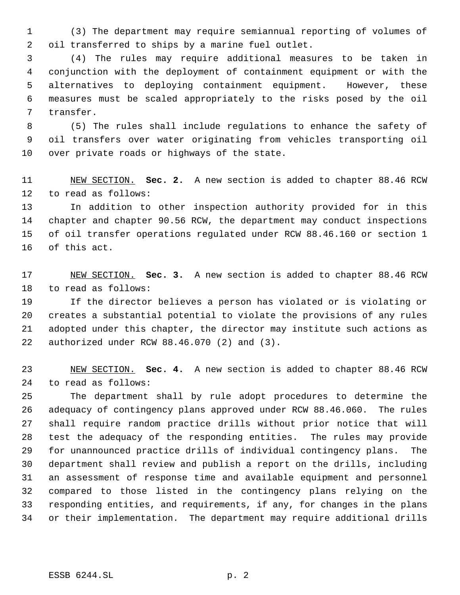(3) The department may require semiannual reporting of volumes of oil transferred to ships by a marine fuel outlet.

 (4) The rules may require additional measures to be taken in conjunction with the deployment of containment equipment or with the alternatives to deploying containment equipment. However, these measures must be scaled appropriately to the risks posed by the oil transfer.

 (5) The rules shall include regulations to enhance the safety of oil transfers over water originating from vehicles transporting oil over private roads or highways of the state.

 NEW SECTION. **Sec. 2.** A new section is added to chapter 88.46 RCW to read as follows:

 In addition to other inspection authority provided for in this chapter and chapter 90.56 RCW, the department may conduct inspections of oil transfer operations regulated under RCW 88.46.160 or section 1 of this act.

 NEW SECTION. **Sec. 3.** A new section is added to chapter 88.46 RCW to read as follows:

 If the director believes a person has violated or is violating or creates a substantial potential to violate the provisions of any rules adopted under this chapter, the director may institute such actions as authorized under RCW 88.46.070 (2) and (3).

 NEW SECTION. **Sec. 4.** A new section is added to chapter 88.46 RCW to read as follows:

 The department shall by rule adopt procedures to determine the adequacy of contingency plans approved under RCW 88.46.060. The rules shall require random practice drills without prior notice that will test the adequacy of the responding entities. The rules may provide for unannounced practice drills of individual contingency plans. The department shall review and publish a report on the drills, including an assessment of response time and available equipment and personnel compared to those listed in the contingency plans relying on the responding entities, and requirements, if any, for changes in the plans or their implementation. The department may require additional drills